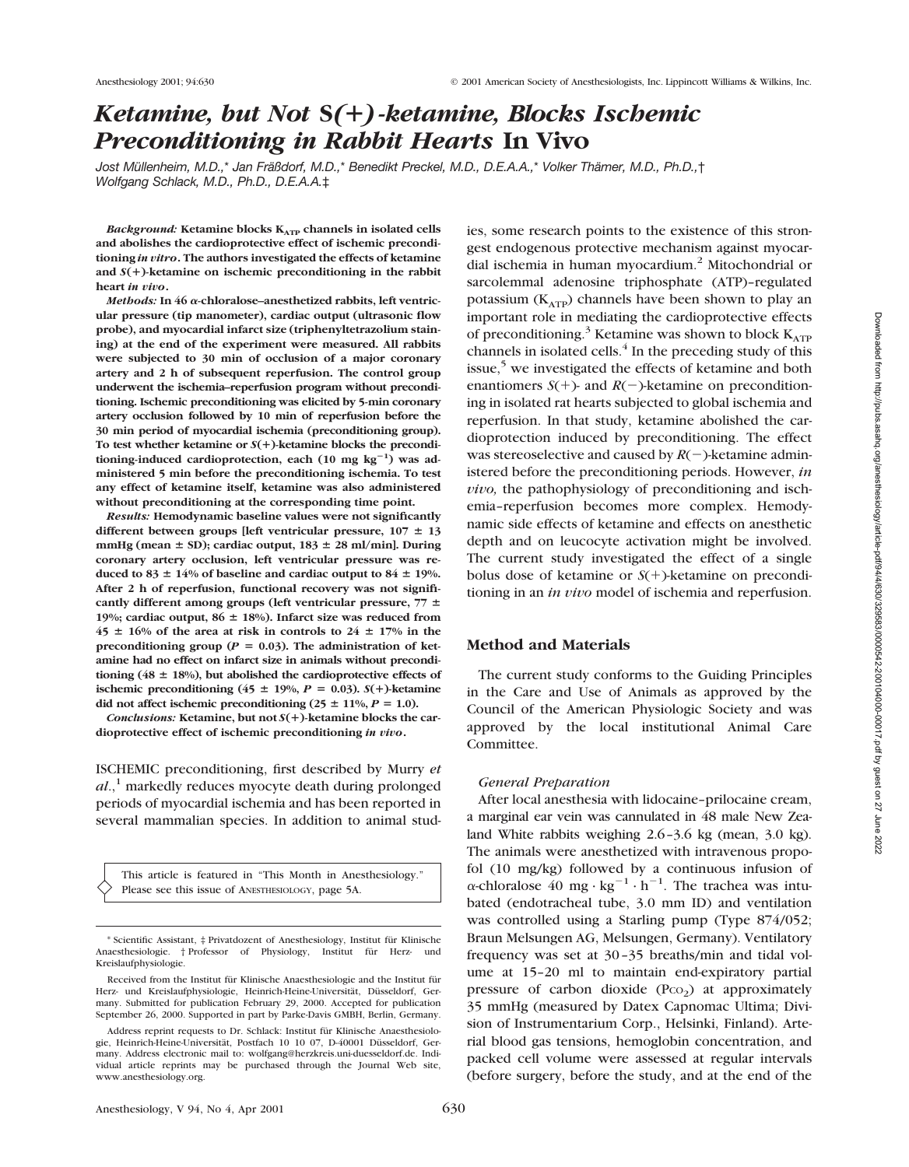# *Ketamine, but Not* **S***(*1*)-ketamine, Blocks Ischemic Preconditioning in Rabbit Hearts* **In Vivo**

*Jost Müllenheim, M.D.,*\* *Jan Fräßdorf, M.D.,*\* *Benedikt Preckel, M.D., D.E.A.A.,*\* *Volker Thämer, M.D., Ph.D.,*† *Wolfgang Schlack, M.D., Ph.D., D.E.A.A.*‡

*Background:* Ketamine blocks  $K_{ATP}$  channels in isolated cells **and abolishes the cardioprotective effect of ischemic preconditioning** *in vitro***. The authors investigated the effects of ketamine and** *S***(**1**)-ketamine on ischemic preconditioning in the rabbit heart** *in vivo***.**

*Methods:* **In 46** <sup>a</sup>**-chloralose–anesthetized rabbits, left ventricular pressure (tip manometer), cardiac output (ultrasonic flow probe), and myocardial infarct size (triphenyltetrazolium staining) at the end of the experiment were measured. All rabbits were subjected to 30 min of occlusion of a major coronary artery and 2 h of subsequent reperfusion. The control group underwent the ischemia–reperfusion program without preconditioning. Ischemic preconditioning was elicited by 5-min coronary artery occlusion followed by 10 min of reperfusion before the 30 min period of myocardial ischemia (preconditioning group). To test whether ketamine or** *S***(**1**)-ketamine blocks the precondi**tioning-induced cardioprotection, each (10 mg kg<sup>-1</sup>) was ad**ministered 5 min before the preconditioning ischemia. To test any effect of ketamine itself, ketamine was also administered without preconditioning at the corresponding time point.**

*Results:* **Hemodynamic baseline values were not significantly** different between groups [left ventricular pressure,  $107 \pm 13$  $mmHg$  (mean  $\pm$  SD); cardiac output,  $183 \pm 28$  ml/min]. During **coronary artery occlusion, left ventricular pressure was re**duced to  $83 \pm 14\%$  of baseline and cardiac output to  $84 \pm 19\%$ . **After 2 h of reperfusion, functional recovery was not signifi**cantly different among groups (left ventricular pressure,  $77 \pm$ 19%; cardiac output,  $86 \pm 18$ %). Infarct size was reduced from  $45 \pm 16\%$  of the area at risk in controls to  $24 \pm 17\%$  in the preconditioning group ( $P = 0.03$ ). The administration of ket**amine had no effect on infarct size in animals without precondi**tioning ( $48 \pm 18\%$ ), but abolished the cardioprotective effects of **ischemic preconditioning (45**  $\pm$  19%,  $P = 0.03$ ). *S*(+)-ketamine did not affect ischemic preconditioning  $(25 \pm 11\%, P = 1.0)$ .

*Conclusions:* **Ketamine, but not** *S***(**1**)-ketamine blocks the cardioprotective effect of ischemic preconditioning** *in vivo***.**

ISCHEMIC preconditioning, first described by Murry *et al.*,<sup>1</sup> markedly reduces myocyte death during prolonged periods of myocardial ischemia and has been reported in several mammalian species. In addition to animal stud-

This article is featured in "This Month in Anesthesiology." Please see this issue of ANESTHESIOLOGY, page 5A.

ies, some research points to the existence of this strongest endogenous protective mechanism against myocardial ischemia in human myocardium.2 Mitochondrial or sarcolemmal adenosine triphosphate (ATP)–regulated potassium ( $K_{ATP}$ ) channels have been shown to play an important role in mediating the cardioprotective effects of preconditioning.<sup>3</sup> Ketamine was shown to block  $K_{\text{ATP}}$ channels in isolated cells. $4$  In the preceding study of this issue, $5 \text{ we investigated the effects of ketamine and both}$ enantiomers  $S(+)$ - and  $R(-)$ -ketamine on preconditioning in isolated rat hearts subjected to global ischemia and reperfusion. In that study, ketamine abolished the cardioprotection induced by preconditioning. The effect was stereoselective and caused by  $R(-)$ -ketamine administered before the preconditioning periods. However, *in vivo,* the pathophysiology of preconditioning and ischemia–reperfusion becomes more complex. Hemodynamic side effects of ketamine and effects on anesthetic depth and on leucocyte activation might be involved. The current study investigated the effect of a single bolus dose of ketamine or  $S(+)$ -ketamine on preconditioning in an *in vivo* model of ischemia and reperfusion.

# **Method and Materials**

The current study conforms to the Guiding Principles in the Care and Use of Animals as approved by the Council of the American Physiologic Society and was approved by the local institutional Animal Care Committee.

#### *General Preparation*

After local anesthesia with lidocaine–prilocaine cream, a marginal ear vein was cannulated in 48 male New Zealand White rabbits weighing 2.6–3.6 kg (mean, 3.0 kg). The animals were anesthetized with intravenous propofol (10 mg/kg) followed by a continuous infusion of  $\alpha$ -chloralose 40 mg · kg<sup>-1</sup> · h<sup>-1</sup>. The trachea was intubated (endotracheal tube, 3.0 mm ID) and ventilation was controlled using a Starling pump (Type 874/052; Braun Melsungen AG, Melsungen, Germany). Ventilatory frequency was set at 30–35 breaths/min and tidal volume at 15–20 ml to maintain end-expiratory partial pressure of carbon dioxide  $(PCO<sub>2</sub>)$  at approximately 35 mmHg (measured by Datex Capnomac Ultima; Division of Instrumentarium Corp., Helsinki, Finland). Arterial blood gas tensions, hemoglobin concentration, and packed cell volume were assessed at regular intervals (before surgery, before the study, and at the end of the

<sup>\*</sup> Scientific Assistant, ‡ Privatdozent of Anesthesiology, Institut für Klinische Anaesthesiologie. † Professor of Physiology, Institut für Herz-Kreislaufphysiologie.

Received from the Institut für Klinische Anaesthesiologie and the Institut für Herz- und Kreislaufphysiologie, Heinrich-Heine-Universität, Düsseldorf, Germany. Submitted for publication February 29, 2000. Accepted for publication September 26, 2000. Supported in part by Parke-Davis GMBH, Berlin, Germany.

Address reprint requests to Dr. Schlack: Institut für Klinische Anaesthesiologie, Heinrich-Heine-Universität, Postfach 10 10 07, D-40001 Düsseldorf, Germany. Address electronic mail to: wolfgang@herzkreis.uni-duesseldorf.de. Individual article reprints may be purchased through the Journal Web site, www.anesthesiology.org.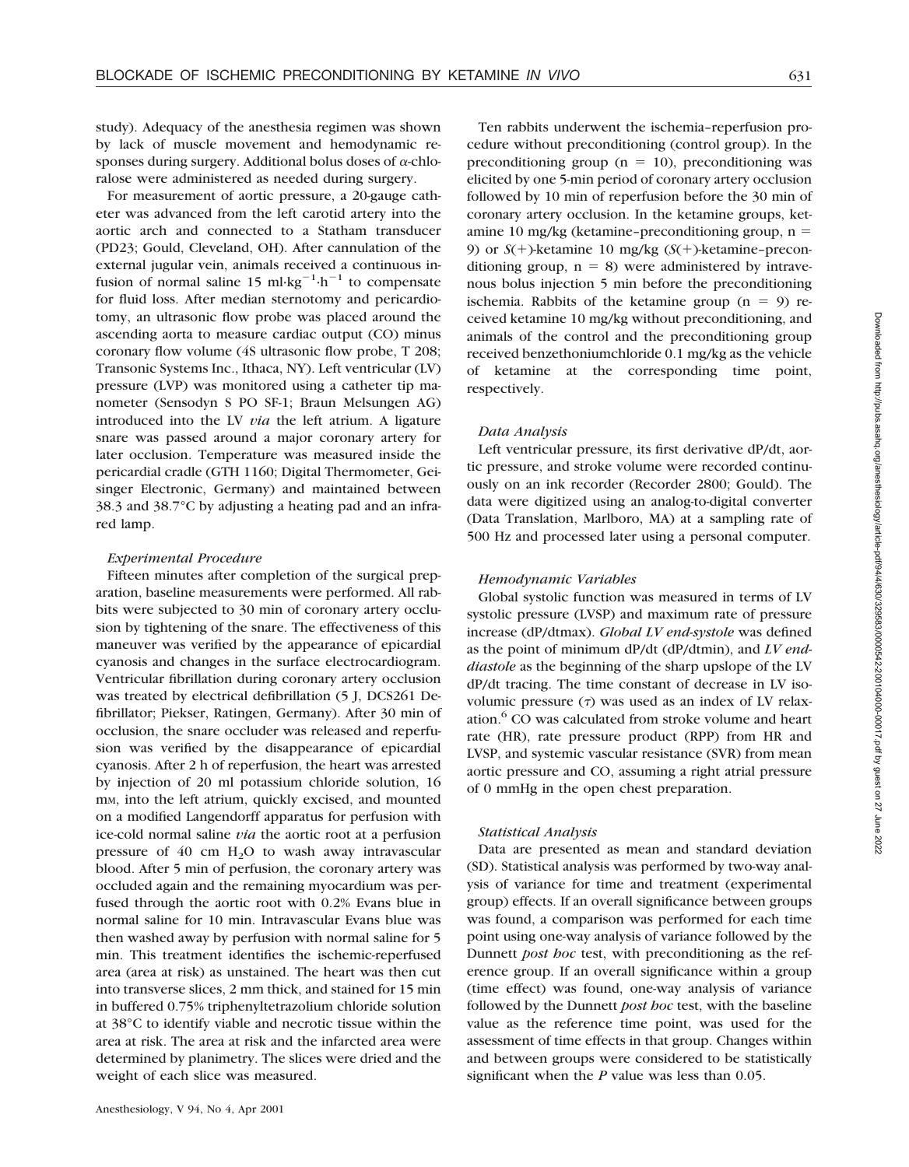study). Adequacy of the anesthesia regimen was shown by lack of muscle movement and hemodynamic responses during surgery. Additional bolus doses of  $\alpha$ -chloralose were administered as needed during surgery.

For measurement of aortic pressure, a 20-gauge catheter was advanced from the left carotid artery into the aortic arch and connected to a Statham transducer (PD23; Gould, Cleveland, OH). After cannulation of the external jugular vein, animals received a continuous infusion of normal saline 15 ml·kg<sup>-1</sup>·h<sup>-1</sup> to compensate for fluid loss. After median sternotomy and pericardiotomy, an ultrasonic flow probe was placed around the ascending aorta to measure cardiac output (CO) minus coronary flow volume (4S ultrasonic flow probe, T 208; Transonic Systems Inc., Ithaca, NY). Left ventricular (LV) pressure (LVP) was monitored using a catheter tip manometer (Sensodyn S PO SF-1; Braun Melsungen AG) introduced into the LV *via* the left atrium. A ligature snare was passed around a major coronary artery for later occlusion. Temperature was measured inside the pericardial cradle (GTH 1160; Digital Thermometer, Geisinger Electronic, Germany) and maintained between 38.3 and 38.7°C by adjusting a heating pad and an infrared lamp.

#### *Experimental Procedure*

Fifteen minutes after completion of the surgical preparation, baseline measurements were performed. All rabbits were subjected to 30 min of coronary artery occlusion by tightening of the snare. The effectiveness of this maneuver was verified by the appearance of epicardial cyanosis and changes in the surface electrocardiogram. Ventricular fibrillation during coronary artery occlusion was treated by electrical defibrillation (5 J, DCS261 Defibrillator; Piekser, Ratingen, Germany). After 30 min of occlusion, the snare occluder was released and reperfusion was verified by the disappearance of epicardial cyanosis. After 2 h of reperfusion, the heart was arrested by injection of 20 ml potassium chloride solution, 16 m<sub>M</sub>, into the left atrium, quickly excised, and mounted on a modified Langendorff apparatus for perfusion with ice-cold normal saline *via* the aortic root at a perfusion pressure of  $40 \text{ cm } H<sub>2</sub>O$  to wash away intravascular blood. After 5 min of perfusion, the coronary artery was occluded again and the remaining myocardium was perfused through the aortic root with 0.2% Evans blue in normal saline for 10 min. Intravascular Evans blue was then washed away by perfusion with normal saline for 5 min. This treatment identifies the ischemic-reperfused area (area at risk) as unstained. The heart was then cut into transverse slices, 2 mm thick, and stained for 15 min in buffered 0.75% triphenyltetrazolium chloride solution at 38°C to identify viable and necrotic tissue within the area at risk. The area at risk and the infarcted area were determined by planimetry. The slices were dried and the weight of each slice was measured.

Ten rabbits underwent the ischemia–reperfusion procedure without preconditioning (control group). In the preconditioning group ( $n = 10$ ), preconditioning was elicited by one 5-min period of coronary artery occlusion followed by 10 min of reperfusion before the 30 min of coronary artery occlusion. In the ketamine groups, ketamine 10 mg/kg (ketamine–preconditioning group,  $n =$ 9) or  $S(+)$ -ketamine 10 mg/kg  $(S(+)$ -ketamine-preconditioning group,  $n = 8$ ) were administered by intravenous bolus injection 5 min before the preconditioning ischemia. Rabbits of the ketamine group  $(n = 9)$  received ketamine 10 mg/kg without preconditioning, and animals of the control and the preconditioning group received benzethoniumchloride 0.1 mg/kg as the vehicle of ketamine at the corresponding time point, respectively.

#### *Data Analysis*

Left ventricular pressure, its first derivative dP/dt, aortic pressure, and stroke volume were recorded continuously on an ink recorder (Recorder 2800; Gould). The data were digitized using an analog-to-digital converter (Data Translation, Marlboro, MA) at a sampling rate of 500 Hz and processed later using a personal computer.

#### *Hemodynamic Variables*

Global systolic function was measured in terms of LV systolic pressure (LVSP) and maximum rate of pressure increase (dP/dtmax). *Global LV end-systole* was defined as the point of minimum dP/dt (dP/dtmin), and *LV enddiastole* as the beginning of the sharp upslope of the LV dP/dt tracing. The time constant of decrease in LV isovolumic pressure  $(τ)$  was used as an index of LV relaxation.<sup>6</sup> CO was calculated from stroke volume and heart rate (HR), rate pressure product (RPP) from HR and LVSP, and systemic vascular resistance (SVR) from mean aortic pressure and CO, assuming a right atrial pressure of 0 mmHg in the open chest preparation.

#### *Statistical Analysis*

Data are presented as mean and standard deviation (SD). Statistical analysis was performed by two-way analysis of variance for time and treatment (experimental group) effects. If an overall significance between groups was found, a comparison was performed for each time point using one-way analysis of variance followed by the Dunnett *post hoc* test, with preconditioning as the reference group. If an overall significance within a group (time effect) was found, one-way analysis of variance followed by the Dunnett *post hoc* test, with the baseline value as the reference time point, was used for the assessment of time effects in that group. Changes within and between groups were considered to be statistically significant when the *P* value was less than 0.05.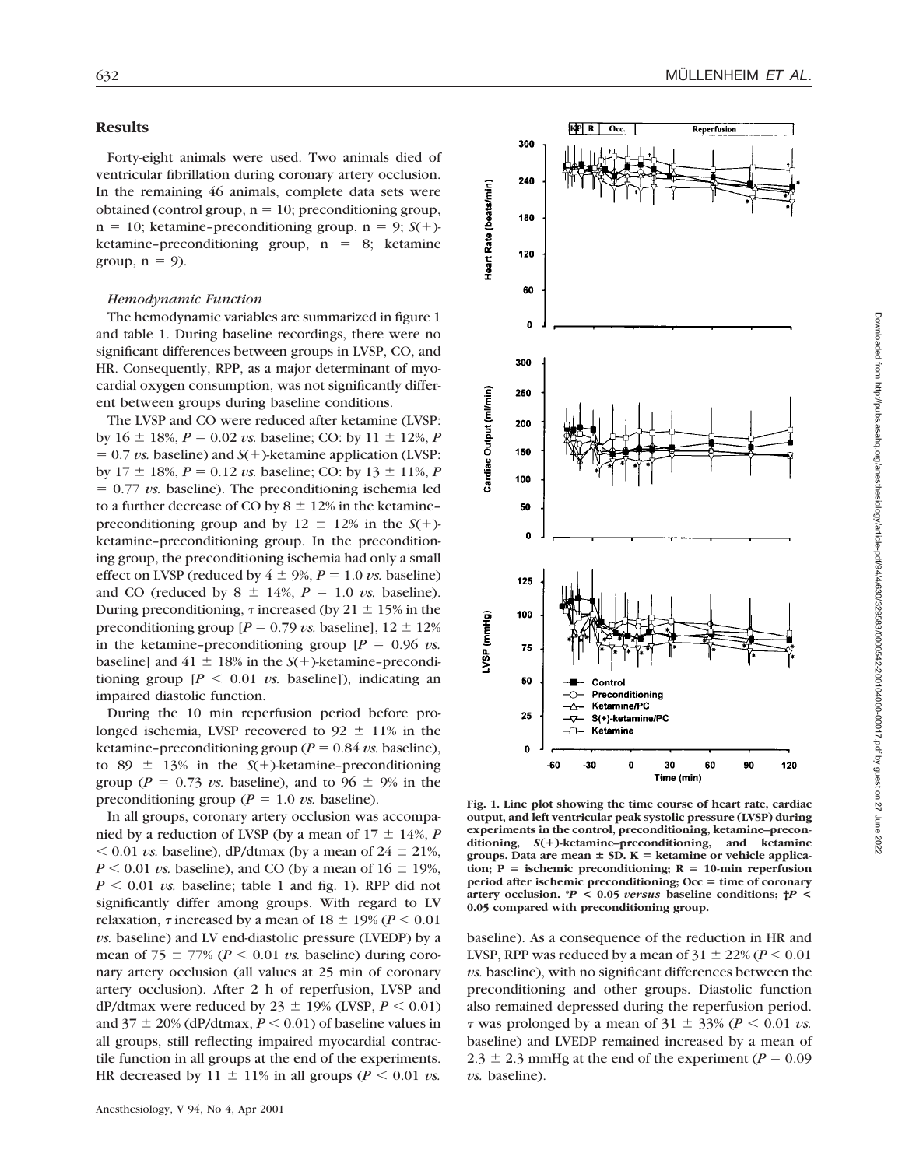#### **Results**

Forty-eight animals were used. Two animals died of ventricular fibrillation during coronary artery occlusion. In the remaining 46 animals, complete data sets were obtained (control group,  $n = 10$ ; preconditioning group,  $n = 10$ ; ketamine–preconditioning group,  $n = 9$ ; *S*(+)ketamine–preconditioning group,  $n = 8$ ; ketamine group,  $n = 9$ ).

## *Hemodynamic Function*

The hemodynamic variables are summarized in figure 1 and table 1. During baseline recordings, there were no significant differences between groups in LVSP, CO, and HR. Consequently, RPP, as a major determinant of myocardial oxygen consumption, was not significantly different between groups during baseline conditions.

The LVSP and CO were reduced after ketamine (LVSP: by  $16 \pm 18\%, P = 0.02 \text{ vs. baseline}$ ; CO: by  $11 \pm 12\%, P$  $= 0.7 \text{ vs. baseline}$ ) and  $S(+)$ -ketamine application (LVSP: by  $17 \pm 18\%$ ,  $P = 0.12$  *vs.* baseline; CO: by  $13 \pm 11\%$ , *P*  $= 0.77$  *vs.* baseline). The preconditioning ischemia led to a further decrease of CO by  $8 \pm 12\%$  in the ketamine– preconditioning group and by  $12 \pm 12\%$  in the *S*(+)ketamine–preconditioning group. In the preconditioning group, the preconditioning ischemia had only a small effect on LVSP (reduced by  $4 \pm 9\%$ ,  $P = 1.0$  *vs.* baseline) and CO (reduced by  $8 \pm 14\%$ ,  $P = 1.0$  *vs.* baseline). During preconditioning,  $\tau$  increased (by 21  $\pm$  15% in the preconditioning group  $[P = 0.79 \text{ vs. baseline}]$ ,  $12 \pm 12\%$ in the ketamine–preconditioning group  $[P = 0.96 \text{ vs.}$ baseline] and  $41 \pm 18\%$  in the *S*(+)-ketamine–preconditioning group  $[P \le 0.01 \text{ vs. baseline}]$ , indicating an impaired diastolic function.

During the 10 min reperfusion period before prolonged ischemia, LVSP recovered to  $92 \pm 11\%$  in the ketamine–preconditioning group ( $P = 0.84$  *vs.* baseline), to 89  $\pm$  13% in the *S*(+)-ketamine–preconditioning group ( $P = 0.73$  *vs.* baseline), and to 96  $\pm$  9% in the preconditioning group ( $P = 1.0$  *vs.* baseline).

In all groups, coronary artery occlusion was accompanied by a reduction of LVSP (by a mean of  $17 \pm 14\%$ , *P*  $< 0.01$  *vs.* baseline), dP/dtmax (by a mean of  $24 \pm 21\%$ ,  $P \le 0.01$  *vs.* baseline), and CO (by a mean of  $16 \pm 19$ %,  $P \le 0.01$  *vs.* baseline; table 1 and fig. 1). RPP did not significantly differ among groups. With regard to LV relaxation,  $\tau$  increased by a mean of  $18 \pm 19\%$  ( $P \le 0.01$ ) *vs.* baseline) and LV end-diastolic pressure (LVEDP) by a mean of 75  $\pm$  77% ( $P < 0.01$  *vs.* baseline) during coronary artery occlusion (all values at 25 min of coronary artery occlusion). After 2 h of reperfusion, LVSP and dP/dtmax were reduced by  $23 \pm 19\%$  (LVSP,  $P \le 0.01$ ) and  $37 \pm 20\%$  (dP/dtmax,  $P \le 0.01$ ) of baseline values in all groups, still reflecting impaired myocardial contractile function in all groups at the end of the experiments. HR decreased by  $11 \pm 11\%$  in all groups ( $P < 0.01$  *vs.* 



**Fig. 1. Line plot showing the time course of heart rate, cardiac output, and left ventricular peak systolic pressure (LVSP) during experiments in the control, preconditioning, ketamine–preconditioning,** *S***(**1**)-ketamine–preconditioning, and ketamine** groups. Data are mean  $\pm$  SD. K = ketamine or vehicle applica- $\text{tion; } P = \text{ischematic preconditioning; } R = 10\text{-min representation}$ **period after ischemic preconditioning; Occ = time of coronary artery occlusion. \****P* **< 0.05** *versus* **baseline conditions; †***P* **< 0.05 compared with preconditioning group.**

baseline). As a consequence of the reduction in HR and LVSP, RPP was reduced by a mean of  $31 \pm 22\%$  ( $P < 0.01$ ) *vs.* baseline), with no significant differences between the preconditioning and other groups. Diastolic function also remained depressed during the reperfusion period.  $\tau$  was prolonged by a mean of 31  $\pm$  33% ( $P \le 0.01$  *vs.*) baseline) and LVEDP remained increased by a mean of  $2.3 \pm 2.3$  mmHg at the end of the experiment ( $P = 0.09$ ) *vs.* baseline).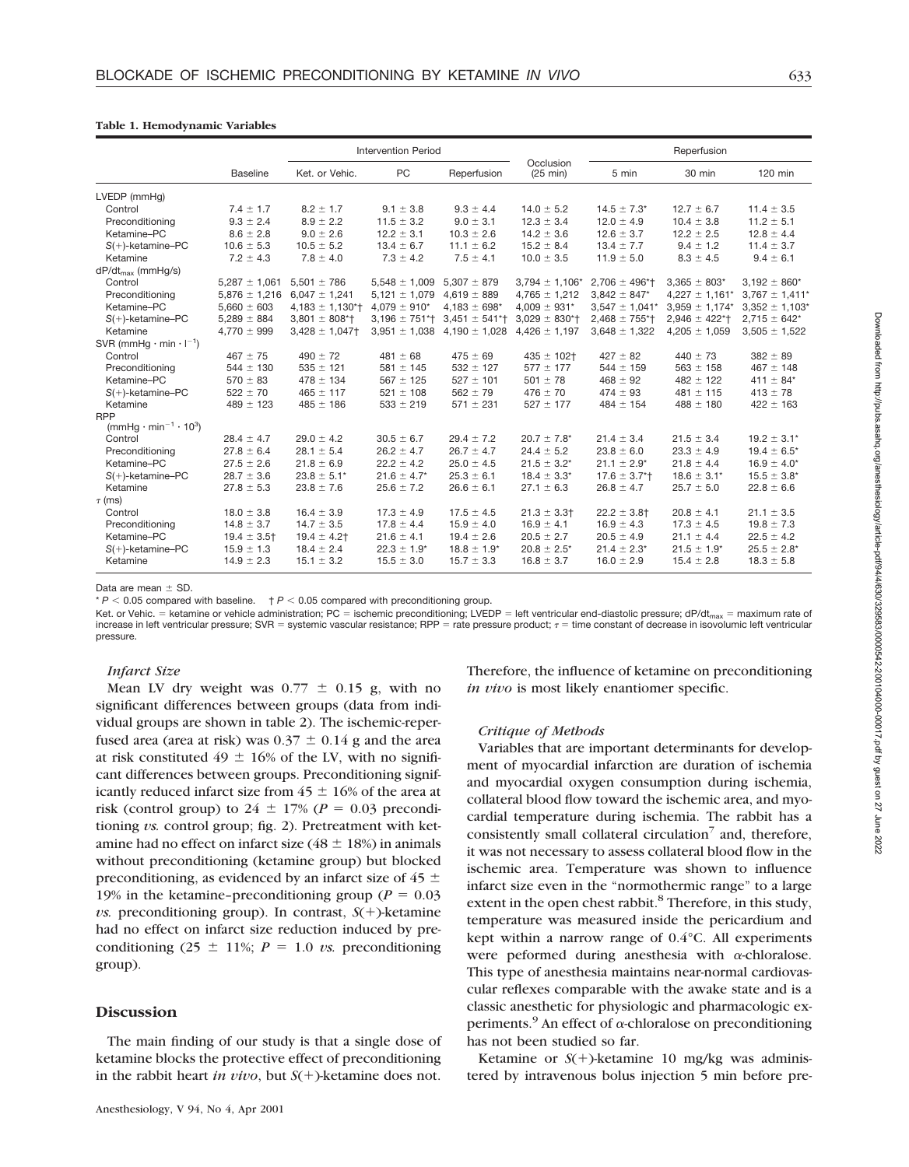## **Table 1. Hemodynamic Variables**

|                                                           |                   | <b>Intervention Period</b>     |                              |                              |                                 | Reperfusion                    |                              |                     |
|-----------------------------------------------------------|-------------------|--------------------------------|------------------------------|------------------------------|---------------------------------|--------------------------------|------------------------------|---------------------|
|                                                           | <b>Baseline</b>   | Ket. or Vehic.                 | <b>PC</b>                    | Reperfusion                  | Occlusion<br>$(25 \text{ min})$ | 5 min                          | 30 min                       | 120 min             |
| LVEDP (mmHq)                                              |                   |                                |                              |                              |                                 |                                |                              |                     |
| Control                                                   | $7.4 \pm 1.7$     | $8.2 \pm 1.7$                  | $9.1 \pm 3.8$                | $9.3 \pm 4.4$                | $14.0 \pm 5.2$                  | $14.5 \pm 7.3^*$               | $12.7 \pm 6.7$               | $11.4 \pm 3.5$      |
| Preconditioning                                           | $9.3 \pm 2.4$     | $8.9 \pm 2.2$                  | $11.5 \pm 3.2$               | $9.0 \pm 3.1$                | $12.3 \pm 3.4$                  | $12.0 \pm 4.9$                 | $10.4 \pm 3.8$               | $11.2 \pm 5.1$      |
| Ketamine-PC                                               | $8.6 \pm 2.8$     | $9.0 \pm 2.6$                  | $12.2 \pm 3.1$               | $10.3 \pm 2.6$               | $14.2 \pm 3.6$                  | $12.6 \pm 3.7$                 | $12.2 \pm 2.5$               | $12.8 \pm 4.4$      |
| $S(+)$ -ketamine-PC                                       | $10.6 \pm 5.3$    | $10.5 \pm 5.2$                 | $13.4 \pm 6.7$               | $11.1 \pm 6.2$               | $15.2 \pm 8.4$                  | $13.4 \pm 7.7$                 | $9.4 \pm 1.2$                | $11.4 \pm 3.7$      |
| Ketamine                                                  | $7.2 \pm 4.3$     | $7.8 \pm 4.0$                  | $7.3 \pm 4.2$                | $7.5 \pm 4.1$                | $10.0 \pm 3.5$                  | $11.9 \pm 5.0$                 | $8.3 \pm 4.5$                | $9.4 \pm 6.1$       |
| $dP/dt_{max}$ (mmHg/s)                                    |                   |                                |                              |                              |                                 |                                |                              |                     |
| Control                                                   | $5,287 \pm 1,061$ | $5,501 \pm 786$                | $5,548 \pm 1,009$            | $5.307 \pm 879$              | $3,794 \pm 1,106*$              | $2.706 \pm 496$ <sup>*</sup> t | $3,365 \pm 803*$             | $3,192 \pm 860^*$   |
| Preconditioning                                           | $5,876 \pm 1,216$ | $6,047 \pm 1,241$              | $5,121 \pm 1,079$            | $4,619 \pm 889$              | $4,765 \pm 1,212$               | $3,842 \pm 847*$               | $4,227 \pm 1,161*$           | $3,767 \pm 1,411*$  |
| Ketamine-PC                                               | $5,660 \pm 603$   | $4,183 \pm 1,130$ *†           | $4,079 \pm 910^*$            | $4,183 \pm 698$ <sup>*</sup> | $4,009 \pm 931*$                | $3,547 \pm 1,041$ *            | $3,959 \pm 1,174$ *          | $3,352 \pm 1,103$ * |
| $S(+)$ -ketamine-PC                                       | $5,289 \pm 884$   | $3,801 \pm 808$ <sup>*</sup> T | $3,196 \pm 751$ <sup>*</sup> | $3,451 \pm 541$ <sup>*</sup> | $3,029 \pm 830$ *†              | $2,468 \pm 755$ *†             | $2,946 \pm 422$ <sup>*</sup> | $2,715 \pm 642*$    |
| Ketamine                                                  | $4,770 \pm 999$   | $3,428 \pm 1,047$              | $3,951 \pm 1,038$            | $4,190 \pm 1,028$            | $4,426 \pm 1,197$               | $3,648 \pm 1,322$              | $4,205 \pm 1,059$            | $3,505 \pm 1,522$   |
| SVR (mmHg $\cdot$ min $\cdot$ I <sup>-1</sup> )           |                   |                                |                              |                              |                                 |                                |                              |                     |
| Control                                                   | $467 \pm 75$      | $490 \pm 72$                   | $481 \pm 68$                 | $475 \pm 69$                 | $435 \pm 102$ †                 | $427 \pm 82$                   | $440 \pm 73$                 | $382 \pm 89$        |
| Preconditioning                                           | $544 \pm 130$     | $535 \pm 121$                  | $581 \pm 145$                | $532 \pm 127$                | $577 \pm 177$                   | $544 \pm 159$                  | $563 \pm 158$                | $467 \pm 148$       |
| Ketamine-PC                                               | $570 \pm 83$      | $478 \pm 134$                  | $567 \pm 125$                | $527 \pm 101$                | $501 \pm 78$                    | $468 \pm 92$                   | $482 \pm 122$                | 411 $\pm$ 84*       |
| $S(+)$ -ketamine-PC                                       | $522 \pm 70$      | $465 \pm 117$                  | $521 \pm 108$                | $562 \pm 79$                 | $476 \pm 70$                    | $474 \pm 93$                   | $481 \pm 115$                | $413 \pm 78$        |
| Ketamine                                                  | $489 \pm 123$     | $485 \pm 186$                  | $533 \pm 219$                | $571 \pm 231$                | $527 \pm 177$                   | $484 \pm 154$                  | $488 \pm 180$                | $422 \pm 163$       |
| <b>RPP</b>                                                |                   |                                |                              |                              |                                 |                                |                              |                     |
| (mmHg $\cdot$ min <sup>-1</sup> $\cdot$ 10 <sup>3</sup> ) |                   |                                |                              |                              |                                 |                                |                              |                     |
| Control                                                   | $28.4 \pm 4.7$    | $29.0 \pm 4.2$                 | $30.5 \pm 6.7$               | $29.4 \pm 7.2$               | $20.7 \pm 7.8$ *                | $21.4 \pm 3.4$                 | $21.5 \pm 3.4$               | $19.2 \pm 3.1^*$    |
| Preconditioning                                           | $27.8 \pm 6.4$    | $28.1 \pm 5.4$                 | $26.2 \pm 4.7$               | $26.7 \pm 4.7$               | $24.4 \pm 5.2$                  | $23.8 \pm 6.0$                 | $23.3 \pm 4.9$               | $19.4 \pm 6.5^*$    |
| Ketamine-PC                                               | $27.5 \pm 2.6$    | $21.8 \pm 6.9$                 | $22.2 \pm 4.2$               | $25.0 \pm 4.5$               | $21.5 \pm 3.2^*$                | $21.1 \pm 2.9^*$               | $21.8 \pm 4.4$               | $16.9 \pm 4.0^*$    |
| $S(+)$ -ketamine-PC                                       | $28.7 \pm 3.6$    | $23.8 \pm 5.1*$                | $21.6 \pm 4.7^*$             | $25.3 \pm 6.1$               | $18.4 \pm 3.3^*$                | $17.6 \pm 3.7$ <sup>*</sup>    | $18.6 \pm 3.1^*$             | $15.5 \pm 3.8^*$    |
| Ketamine                                                  | $27.8 \pm 5.3$    | $23.8 \pm 7.6$                 | $25.6 \pm 7.2$               | $26.6 \pm 6.1$               | $27.1 \pm 6.3$                  | $26.8 \pm 4.7$                 | $25.7 \pm 5.0$               | $22.8 \pm 6.6$      |
| $\tau$ (ms)                                               |                   |                                |                              |                              |                                 |                                |                              |                     |
| Control                                                   | $18.0 \pm 3.8$    | $16.4 \pm 3.9$                 | $17.3 \pm 4.9$               | $17.5 \pm 4.5$               | $21.3 \pm 3.3$                  | $22.2 \pm 3.8$ †               | $20.8 \pm 4.1$               | $21.1 \pm 3.5$      |
| Preconditioning                                           | $14.8 \pm 3.7$    | $14.7 \pm 3.5$                 | $17.8 \pm 4.4$               | $15.9 \pm 4.0$               | $16.9 \pm 4.1$                  | $16.9 \pm 4.3$                 | $17.3 \pm 4.5$               | $19.8 \pm 7.3$      |
| Ketamine-PC                                               | $19.4 \pm 3.5$ †  | $19.4 \pm 4.2$ †               | $21.6 \pm 4.1$               | $19.4 \pm 2.6$               | $20.5 \pm 2.7$                  | $20.5 \pm 4.9$                 | $21.1 \pm 4.4$               | $22.5 \pm 4.2$      |
| $S(+)$ -ketamine-PC                                       | $15.9 \pm 1.3$    | $18.4 \pm 2.4$                 | $22.3 \pm 1.9^*$             | $18.8 \pm 1.9^*$             | $20.8 \pm 2.5^*$                | $21.4 \pm 2.3^*$               | $21.5 \pm 1.9*$              | $25.5 \pm 2.8^*$    |
| Ketamine                                                  | $14.9 \pm 2.3$    | $15.1 \pm 3.2$                 | $15.5 \pm 3.0$               | $15.7 \pm 3.3$               | $16.8 \pm 3.7$                  | $16.0 \pm 2.9$                 | $15.4 \pm 2.8$               | $18.3 \pm 5.8$      |

Data are mean  $\pm$  SD.

 $* P < 0.05$  compared with baseline.  $+ P < 0.05$  compared with preconditioning group.

Ket. or Vehic. = ketamine or vehicle administration; PC = ischemic preconditioning; LVEDP = left ventricular end-diastolic pressure; dP/dt<sub>max</sub> = maximum rate of increase in left ventricular pressure; SVR = systemic vascular resistance; RPP = rate pressure product;  $\tau$  = time constant of decrease in isovolumic left ventricular pressure.

## *Infarct Size*

Mean LV dry weight was  $0.77 \pm 0.15$  g, with no significant differences between groups (data from individual groups are shown in table 2). The ischemic-reperfused area (area at risk) was  $0.37 \pm 0.14$  g and the area at risk constituted  $49 \pm 16\%$  of the LV, with no significant differences between groups. Preconditioning significantly reduced infarct size from  $45 \pm 16\%$  of the area at risk (control group) to  $24 \pm 17\%$  ( $P = 0.03$  preconditioning *vs.* control group; fig. 2). Pretreatment with ketamine had no effect on infarct size ( $48 \pm 18$ %) in animals without preconditioning (ketamine group) but blocked preconditioning, as evidenced by an infarct size of 45  $\pm$ 19% in the ketamine–preconditioning group ( $P = 0.03$ ) *vs.* preconditioning group). In contrast,  $S(+)$ -ketamine had no effect on infarct size reduction induced by preconditioning (25  $\pm$  11%; *P* = 1.0 *vs.* preconditioning group).

## **Discussion**

The main finding of our study is that a single dose of ketamine blocks the protective effect of preconditioning in the rabbit heart *in vivo*, but  $S(+)$ -ketamine does not. Therefore, the influence of ketamine on preconditioning *in vivo* is most likely enantiomer specific.

## *Critique of Methods*

Variables that are important determinants for development of myocardial infarction are duration of ischemia and myocardial oxygen consumption during ischemia, collateral blood flow toward the ischemic area, and myocardial temperature during ischemia. The rabbit has a consistently small collateral circulation<sup>7</sup> and, therefore, it was not necessary to assess collateral blood flow in the ischemic area. Temperature was shown to influence infarct size even in the "normothermic range" to a large extent in the open chest rabbit.<sup>8</sup> Therefore, in this study, temperature was measured inside the pericardium and kept within a narrow range of 0.4°C. All experiments were peformed during anesthesia with <sup>a</sup>-chloralose. This type of anesthesia maintains near-normal cardiovascular reflexes comparable with the awake state and is a classic anesthetic for physiologic and pharmacologic experiments.<sup>9</sup> An effect of  $\alpha$ -chloralose on preconditioning has not been studied so far.

Ketamine or  $S(+)$ -ketamine 10 mg/kg was administered by intravenous bolus injection 5 min before pre-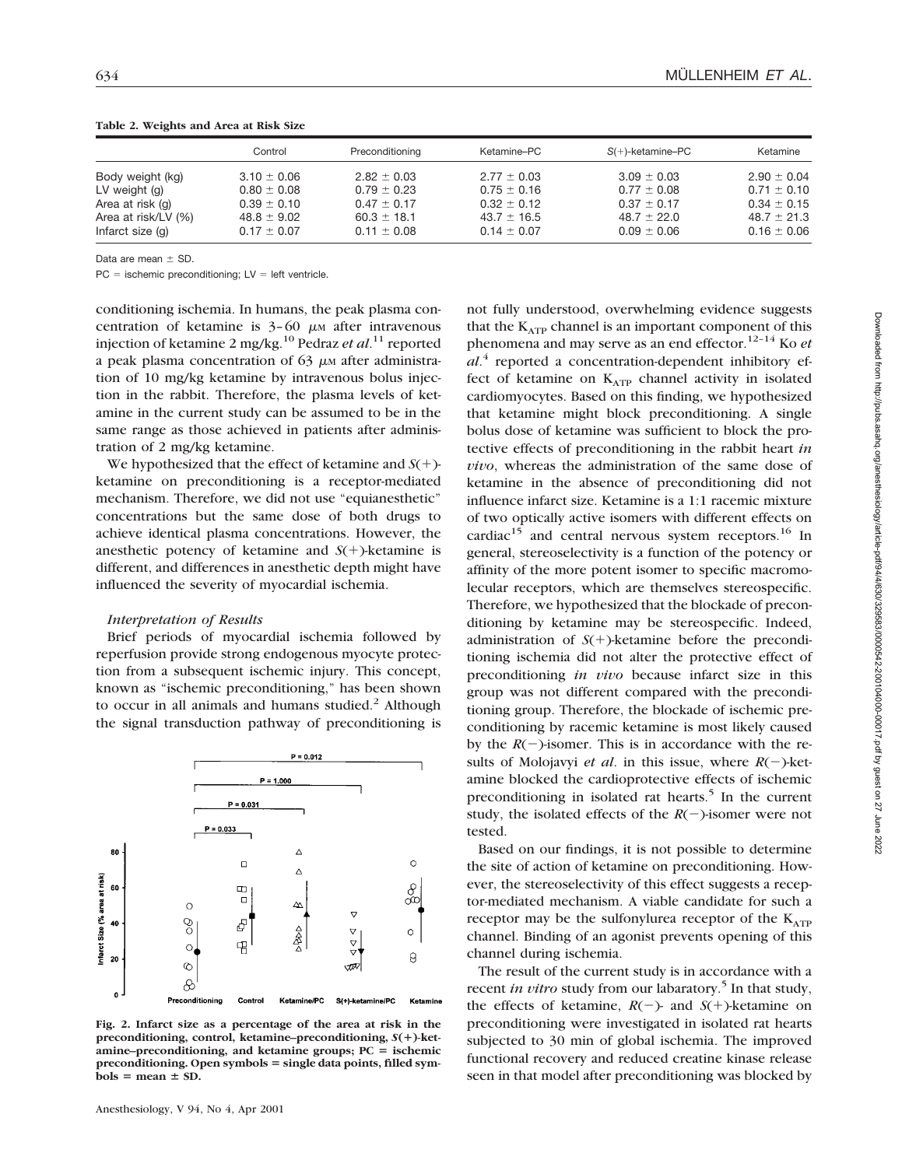|                     | Control         | Preconditioning | Ketamine–PC     | $S(+)$ -ketamine-PC | Ketamine        |
|---------------------|-----------------|-----------------|-----------------|---------------------|-----------------|
| Body weight (kg)    | $3.10 \pm 0.06$ | $2.82 \pm 0.03$ | $2.77 \pm 0.03$ | $3.09 \pm 0.03$     | $2.90 \pm 0.04$ |
| LV weight (g)       | $0.80 \pm 0.08$ | $0.79 \pm 0.23$ | $0.75 \pm 0.16$ | $0.77 \pm 0.08$     | $0.71 \pm 0.10$ |
| Area at risk (g)    | $0.39 \pm 0.10$ | $0.47 \pm 0.17$ | $0.32 \pm 0.12$ | $0.37 \pm 0.17$     | $0.34 \pm 0.15$ |
| Area at risk/LV (%) | $48.8 \pm 9.02$ | $60.3 \pm 18.1$ | $43.7 \pm 16.5$ | $48.7 \pm 22.0$     | $48.7 \pm 21.3$ |
| Infarct size (g)    | $0.17 \pm 0.07$ | $0.11 \pm 0.08$ | $0.14 \pm 0.07$ | $0.09 \pm 0.06$     | $0.16 \pm 0.06$ |

**Table 2. Weights and Area at Risk Size**

Data are mean  $\pm$  SD.

 $PC =$  ischemic preconditioning;  $LV =$  left ventricle.

conditioning ischemia. In humans, the peak plasma concentration of ketamine is  $3-60 \mu$ M after intravenous injection of ketamine 2 mg/kg.10 Pedraz *et al*. <sup>11</sup> reported a peak plasma concentration of  $63 \mu$ M after administration of 10 mg/kg ketamine by intravenous bolus injection in the rabbit. Therefore, the plasma levels of ketamine in the current study can be assumed to be in the same range as those achieved in patients after administration of 2 mg/kg ketamine.

We hypothesized that the effect of ketamine and  $S(+)$ ketamine on preconditioning is a receptor-mediated mechanism. Therefore, we did not use "equianesthetic" concentrations but the same dose of both drugs to achieve identical plasma concentrations. However, the anesthetic potency of ketamine and  $S(+)$ -ketamine is different, and differences in anesthetic depth might have influenced the severity of myocardial ischemia.

#### *Interpretation of Results*

Brief periods of myocardial ischemia followed by reperfusion provide strong endogenous myocyte protection from a subsequent ischemic injury. This concept, known as "ischemic preconditioning," has been shown to occur in all animals and humans studied.<sup>2</sup> Although the signal transduction pathway of preconditioning is



**Fig. 2. Infarct size as a percentage of the area at risk in the preconditioning, control, ketamine–preconditioning,** *S***(**1**)-ket** $a$ mine–preconditioning, and ketamine groups;  $PC =$  ischemic **preconditioning. Open symbols = single data points, filled sym** $b$ ols = mean  $\pm$  SD.

not fully understood, overwhelming evidence suggests that the  $K_{ATP}$  channel is an important component of this phenomena and may serve as an end effector.12–14 Ko *et al*. <sup>4</sup> reported a concentration-dependent inhibitory effect of ketamine on  $K_{ATP}$  channel activity in isolated cardiomyocytes. Based on this finding, we hypothesized that ketamine might block preconditioning. A single bolus dose of ketamine was sufficient to block the protective effects of preconditioning in the rabbit heart *in vivo*, whereas the administration of the same dose of ketamine in the absence of preconditioning did not influence infarct size. Ketamine is a 1:1 racemic mixture of two optically active isomers with different effects on cardiac<sup>15</sup> and central nervous system receptors.<sup>16</sup> In general, stereoselectivity is a function of the potency or affinity of the more potent isomer to specific macromolecular receptors, which are themselves stereospecific. Therefore, we hypothesized that the blockade of preconditioning by ketamine may be stereospecific. Indeed, administration of  $S(+)$ -ketamine before the preconditioning ischemia did not alter the protective effect of preconditioning *in vivo* because infarct size in this group was not different compared with the preconditioning group. Therefore, the blockade of ischemic preconditioning by racemic ketamine is most likely caused by the  $R(-)$ -isomer. This is in accordance with the results of Molojavyi *et al.* in this issue, where  $R(-)$ -ketamine blocked the cardioprotective effects of ischemic preconditioning in isolated rat hearts.<sup>5</sup> In the current study, the isolated effects of the  $R(-)$ -isomer were not tested.

Based on our findings, it is not possible to determine the site of action of ketamine on preconditioning. However, the stereoselectivity of this effect suggests a receptor-mediated mechanism. A viable candidate for such a receptor may be the sulfonylurea receptor of the  $K_{ATP}$ channel. Binding of an agonist prevents opening of this channel during ischemia.

The result of the current study is in accordance with a recent *in vitro* study from our labaratory.<sup>5</sup> In that study, the effects of ketamine,  $R(-)$ - and  $S(+)$ -ketamine on preconditioning were investigated in isolated rat hearts subjected to 30 min of global ischemia. The improved functional recovery and reduced creatine kinase release seen in that model after preconditioning was blocked by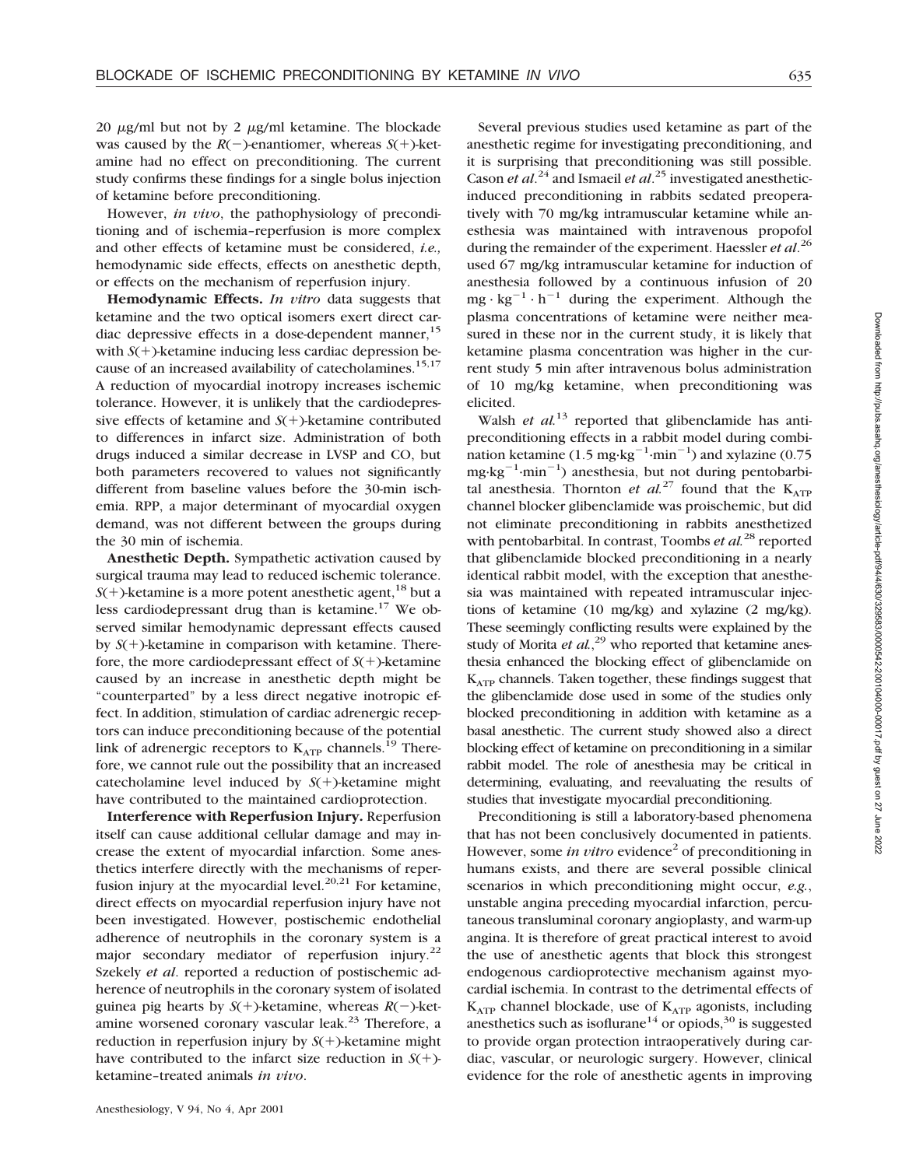20  $\mu$ g/ml but not by 2  $\mu$ g/ml ketamine. The blockade was caused by the  $R(-)$ -enantiomer, whereas  $S(+)$ -ketamine had no effect on preconditioning. The current study confirms these findings for a single bolus injection of ketamine before preconditioning.

However, *in vivo*, the pathophysiology of preconditioning and of ischemia–reperfusion is more complex and other effects of ketamine must be considered, *i.e.,* hemodynamic side effects, effects on anesthetic depth, or effects on the mechanism of reperfusion injury.

**Hemodynamic Effects.** *In vitro* data suggests that ketamine and the two optical isomers exert direct cardiac depressive effects in a dose-dependent manner,<sup>15</sup> with  $S(+)$ -ketamine inducing less cardiac depression because of an increased availability of catecholamines.<sup>15,17</sup> A reduction of myocardial inotropy increases ischemic tolerance. However, it is unlikely that the cardiodepressive effects of ketamine and  $S(+)$ -ketamine contributed to differences in infarct size. Administration of both drugs induced a similar decrease in LVSP and CO, but both parameters recovered to values not significantly different from baseline values before the 30-min ischemia. RPP, a major determinant of myocardial oxygen demand, was not different between the groups during the 30 min of ischemia.

**Anesthetic Depth.** Sympathetic activation caused by surgical trauma may lead to reduced ischemic tolerance.  $S(+)$ -ketamine is a more potent anesthetic agent,<sup>18</sup> but a less cardiodepressant drug than is ketamine. $17$  We observed similar hemodynamic depressant effects caused by  $S(+)$ -ketamine in comparison with ketamine. Therefore, the more cardiodepressant effect of  $S(+)$ -ketamine caused by an increase in anesthetic depth might be "counterparted" by a less direct negative inotropic effect. In addition, stimulation of cardiac adrenergic receptors can induce preconditioning because of the potential link of adrenergic receptors to  $K_{ATP}$  channels.<sup>19</sup> Therefore, we cannot rule out the possibility that an increased catecholamine level induced by  $S(+)$ -ketamine might have contributed to the maintained cardioprotection.

**Interference with Reperfusion Injury.** Reperfusion itself can cause additional cellular damage and may increase the extent of myocardial infarction. Some anesthetics interfere directly with the mechanisms of reperfusion injury at the myocardial level.<sup>20,21</sup> For ketamine, direct effects on myocardial reperfusion injury have not been investigated. However, postischemic endothelial adherence of neutrophils in the coronary system is a major secondary mediator of reperfusion injury.<sup>22</sup> Szekely *et al*. reported a reduction of postischemic adherence of neutrophils in the coronary system of isolated guinea pig hearts by  $S(+)$ -ketamine, whereas  $R(-)$ -ketamine worsened coronary vascular leak.<sup>23</sup> Therefore, a reduction in reperfusion injury by  $S(+)$ -ketamine might have contributed to the infarct size reduction in  $S(+)$ ketamine–treated animals *in vivo*.

Several previous studies used ketamine as part of the anesthetic regime for investigating preconditioning, and it is surprising that preconditioning was still possible. Cason *et al.*<sup>24</sup> and Ismaeil *et al.*<sup>25</sup> investigated anestheticinduced preconditioning in rabbits sedated preoperatively with 70 mg/kg intramuscular ketamine while anesthesia was maintained with intravenous propofol during the remainder of the experiment. Haessler *et al*. 26 used 67 mg/kg intramuscular ketamine for induction of anesthesia followed by a continuous infusion of 20  $mg \cdot kg^{-1} \cdot h^{-1}$  during the experiment. Although the plasma concentrations of ketamine were neither measured in these nor in the current study, it is likely that ketamine plasma concentration was higher in the current study 5 min after intravenous bolus administration of 10 mg/kg ketamine, when preconditioning was elicited.

Walsh *et al.*<sup>13</sup> reported that glibenclamide has antipreconditioning effects in a rabbit model during combination ketamine  $(1.5 \text{ mg} \cdot \text{kg}^{-1} \cdot \text{min}^{-1})$  and xylazine  $(0.75$  $mg \cdot kg^{-1} \cdot min^{-1}$ ) anesthesia, but not during pentobarbital anesthesia. Thornton *et al.*<sup>27</sup> found that the  $K_{ATP}$ channel blocker glibenclamide was proischemic, but did not eliminate preconditioning in rabbits anesthetized with pentobarbital. In contrast, Toombs *et al.*<sup>28</sup> reported that glibenclamide blocked preconditioning in a nearly identical rabbit model, with the exception that anesthesia was maintained with repeated intramuscular injections of ketamine (10 mg/kg) and xylazine (2 mg/kg). These seemingly conflicting results were explained by the study of Morita *et al.*<sup>29</sup> who reported that ketamine anesthesia enhanced the blocking effect of glibenclamide on  $K<sub>ATP</sub>$  channels. Taken together, these findings suggest that the glibenclamide dose used in some of the studies only blocked preconditioning in addition with ketamine as a basal anesthetic. The current study showed also a direct blocking effect of ketamine on preconditioning in a similar rabbit model. The role of anesthesia may be critical in determining, evaluating, and reevaluating the results of studies that investigate myocardial preconditioning.

Preconditioning is still a laboratory-based phenomena that has not been conclusively documented in patients. However, some *in vitro* evidence<sup>2</sup> of preconditioning in humans exists, and there are several possible clinical scenarios in which preconditioning might occur, *e.g.*, unstable angina preceding myocardial infarction, percutaneous transluminal coronary angioplasty, and warm-up angina. It is therefore of great practical interest to avoid the use of anesthetic agents that block this strongest endogenous cardioprotective mechanism against myocardial ischemia. In contrast to the detrimental effects of  $K_{ATP}$  channel blockade, use of  $K_{ATP}$  agonists, including anesthetics such as isoflurane<sup>14</sup> or opiods,<sup>30</sup> is suggested to provide organ protection intraoperatively during cardiac, vascular, or neurologic surgery. However, clinical evidence for the role of anesthetic agents in improving